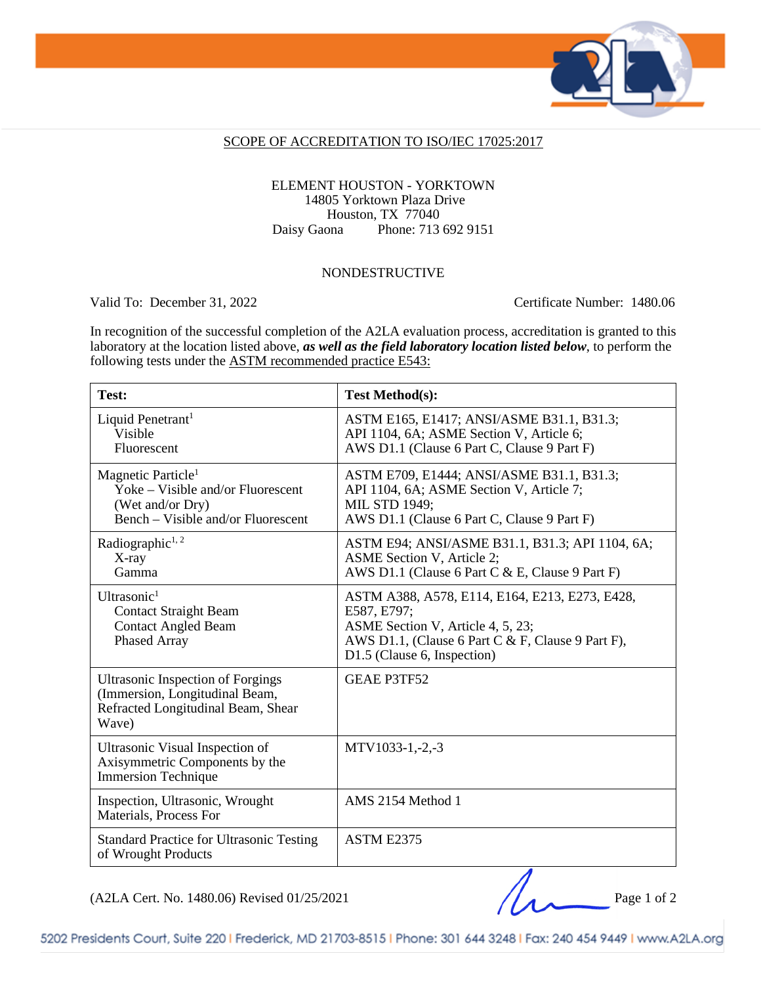

#### SCOPE OF ACCREDITATION TO ISO/IEC 17025:2017

#### ELEMENT HOUSTON - YORKTOWN 14805 Yorktown Plaza Drive Houston, TX 77040 Daisy Gaona Phone: 713 692 9151

### NONDESTRUCTIVE

Valid To: December 31, 2022 Certificate Number: 1480.06

In recognition of the successful completion of the A2LA evaluation process, accreditation is granted to this laboratory at the location listed above, *as well as the field laboratory location listed below*, to perform the following tests under the ASTM recommended practice E543:

| Test:                                                                                                                         | <b>Test Method(s):</b>                                                                                                                                                                 |
|-------------------------------------------------------------------------------------------------------------------------------|----------------------------------------------------------------------------------------------------------------------------------------------------------------------------------------|
| Liquid Penetrant <sup>1</sup><br>Visible<br>Fluorescent                                                                       | ASTM E165, E1417; ANSI/ASME B31.1, B31.3;<br>API 1104, 6A; ASME Section V, Article 6;<br>AWS D1.1 (Clause 6 Part C, Clause 9 Part F)                                                   |
| Magnetic Particle <sup>1</sup><br>Yoke – Visible and/or Fluorescent<br>(Wet and/or Dry)<br>Bench – Visible and/or Fluorescent | ASTM E709, E1444; ANSI/ASME B31.1, B31.3;<br>API 1104, 6A; ASME Section V, Article 7;<br><b>MIL STD 1949;</b><br>AWS D1.1 (Clause 6 Part C, Clause 9 Part F)                           |
| Radiographic <sup>1, 2</sup><br>X-ray<br>Gamma                                                                                | ASTM E94; ANSI/ASME B31.1, B31.3; API 1104, 6A;<br>ASME Section V, Article 2;<br>AWS D1.1 (Clause 6 Part C & E, Clause 9 Part F)                                                       |
| Ultrasonic $1$<br><b>Contact Straight Beam</b><br><b>Contact Angled Beam</b><br>Phased Array                                  | ASTM A388, A578, E114, E164, E213, E273, E428,<br>E587, E797;<br>ASME Section V, Article 4, 5, 23;<br>AWS D1.1, (Clause 6 Part C & F, Clause 9 Part F),<br>D1.5 (Clause 6, Inspection) |
| <b>Ultrasonic Inspection of Forgings</b><br>(Immersion, Longitudinal Beam,<br>Refracted Longitudinal Beam, Shear<br>Wave)     | <b>GEAE P3TF52</b>                                                                                                                                                                     |
| Ultrasonic Visual Inspection of<br>Axisymmetric Components by the<br><b>Immersion Technique</b>                               | $MTV1033-1,-2,-3$                                                                                                                                                                      |
| Inspection, Ultrasonic, Wrought<br>Materials, Process For                                                                     | AMS 2154 Method 1                                                                                                                                                                      |
| <b>Standard Practice for Ultrasonic Testing</b><br>of Wrought Products                                                        | ASTM E2375                                                                                                                                                                             |

 $(A2LA$  Cert. No. 1480.06) Revised 01/25/2021 Page 1 of 2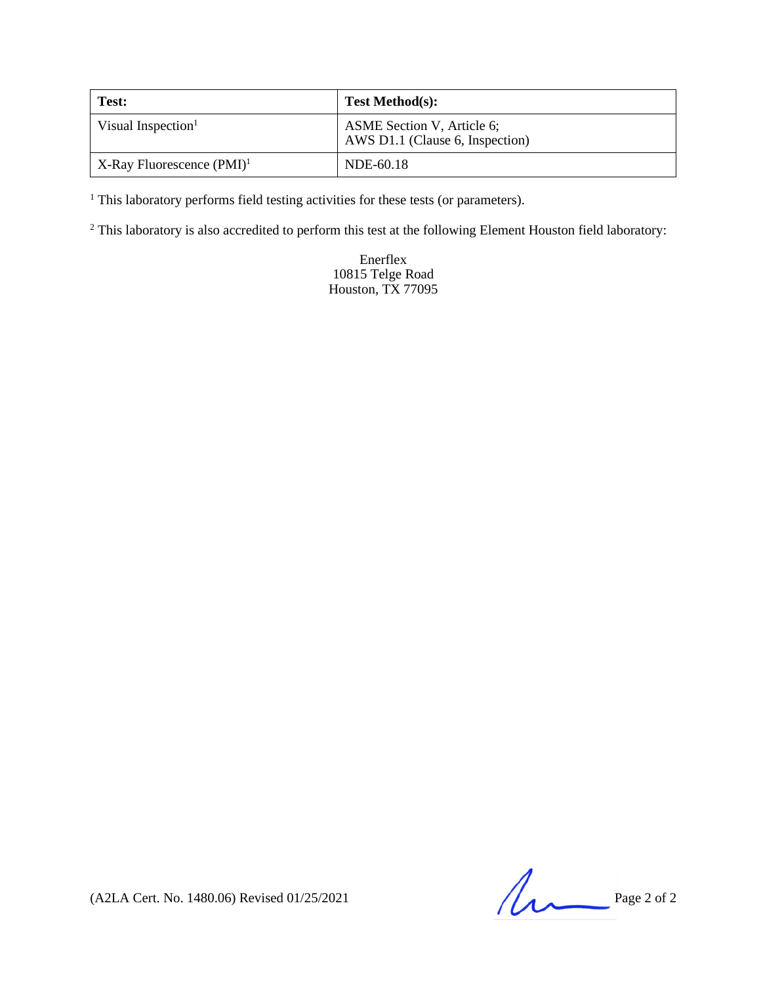| Test:                                    | <b>Test Method(s):</b>                                        |
|------------------------------------------|---------------------------------------------------------------|
| Visual Inspection <sup>1</sup>           | ASME Section V, Article 6;<br>AWS D1.1 (Clause 6, Inspection) |
| $X$ -Ray Fluorescence (PMI) <sup>1</sup> | NDE-60.18                                                     |

<sup>1</sup> This laboratory performs field testing activities for these tests (or parameters).

<sup>2</sup> This laboratory is also accredited to perform this test at the following Element Houston field laboratory:

Enerflex 10815 Telge Road Houston, TX 77095

(A2LA Cert. No. 1480.06) Revised 01/25/2021 Page 2 of 2